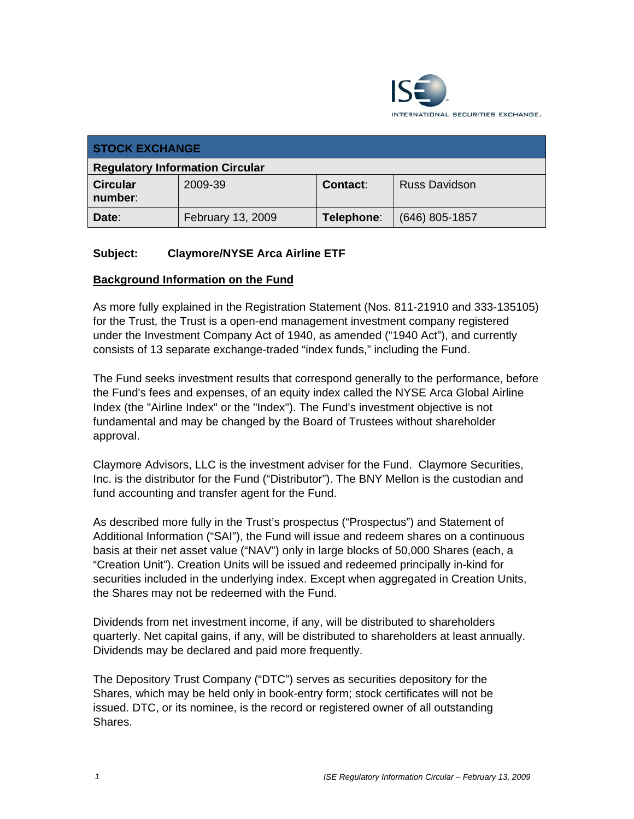

| <b>STOCK EXCHANGE</b>                  |                   |                 |                      |
|----------------------------------------|-------------------|-----------------|----------------------|
| <b>Regulatory Information Circular</b> |                   |                 |                      |
| <b>Circular</b><br>number:             | 2009-39           | <b>Contact:</b> | <b>Russ Davidson</b> |
| Date:                                  | February 13, 2009 | Telephone:      | $(646)$ 805-1857     |

### **Subject: Claymore/NYSE Arca Airline ETF**

#### **Background Information on the Fund**

As more fully explained in the Registration Statement (Nos. 811-21910 and 333-135105) for the Trust, the Trust is a open-end management investment company registered under the Investment Company Act of 1940, as amended ("1940 Act"), and currently consists of 13 separate exchange-traded "index funds," including the Fund.

The Fund seeks investment results that correspond generally to the performance, before the Fund's fees and expenses, of an equity index called the NYSE Arca Global Airline Index (the "Airline Index" or the "Index"). The Fund's investment objective is not fundamental and may be changed by the Board of Trustees without shareholder approval.

Claymore Advisors, LLC is the investment adviser for the Fund. Claymore Securities, Inc. is the distributor for the Fund ("Distributor"). The BNY Mellon is the custodian and fund accounting and transfer agent for the Fund.

As described more fully in the Trust's prospectus ("Prospectus") and Statement of Additional Information ("SAI"), the Fund will issue and redeem shares on a continuous basis at their net asset value ("NAV") only in large blocks of 50,000 Shares (each, a "Creation Unit"). Creation Units will be issued and redeemed principally in-kind for securities included in the underlying index. Except when aggregated in Creation Units, the Shares may not be redeemed with the Fund.

Dividends from net investment income, if any, will be distributed to shareholders quarterly. Net capital gains, if any, will be distributed to shareholders at least annually. Dividends may be declared and paid more frequently.

The Depository Trust Company ("DTC") serves as securities depository for the Shares, which may be held only in book-entry form; stock certificates will not be issued. DTC, or its nominee, is the record or registered owner of all outstanding Shares.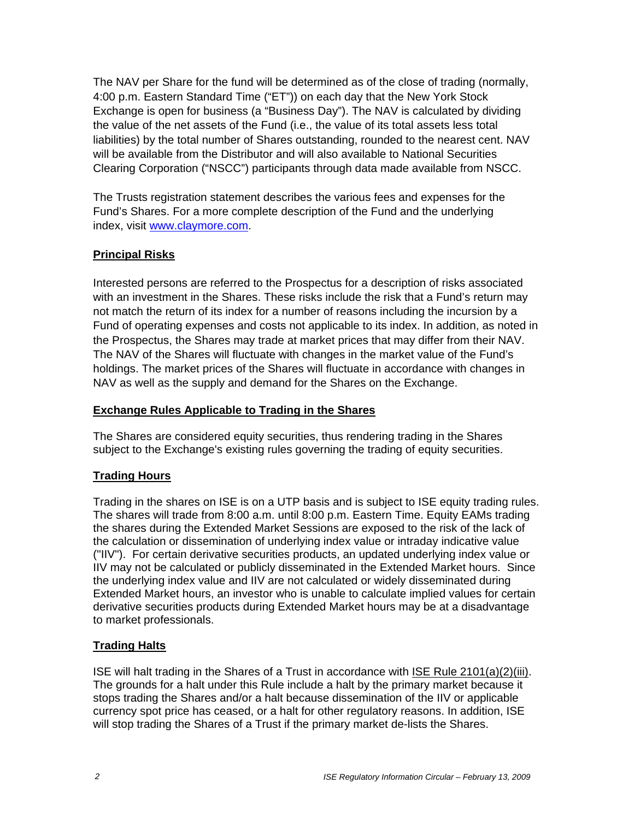The NAV per Share for the fund will be determined as of the close of trading (normally, 4:00 p.m. Eastern Standard Time ("ET")) on each day that the New York Stock Exchange is open for business (a "Business Day"). The NAV is calculated by dividing the value of the net assets of the Fund (i.e., the value of its total assets less total liabilities) by the total number of Shares outstanding, rounded to the nearest cent. NAV will be available from the Distributor and will also available to National Securities Clearing Corporation ("NSCC") participants through data made available from NSCC.

The Trusts registration statement describes the various fees and expenses for the Fund's Shares. For a more complete description of the Fund and the underlying index, visit www.claymore.com.

# **Principal Risks**

Interested persons are referred to the Prospectus for a description of risks associated with an investment in the Shares. These risks include the risk that a Fund's return may not match the return of its index for a number of reasons including the incursion by a Fund of operating expenses and costs not applicable to its index. In addition, as noted in the Prospectus, the Shares may trade at market prices that may differ from their NAV. The NAV of the Shares will fluctuate with changes in the market value of the Fund's holdings. The market prices of the Shares will fluctuate in accordance with changes in NAV as well as the supply and demand for the Shares on the Exchange.

# **Exchange Rules Applicable to Trading in the Shares**

The Shares are considered equity securities, thus rendering trading in the Shares subject to the Exchange's existing rules governing the trading of equity securities.

# **Trading Hours**

Trading in the shares on ISE is on a UTP basis and is subject to ISE equity trading rules. The shares will trade from 8:00 a.m. until 8:00 p.m. Eastern Time. Equity EAMs trading the shares during the Extended Market Sessions are exposed to the risk of the lack of the calculation or dissemination of underlying index value or intraday indicative value ("IIV"). For certain derivative securities products, an updated underlying index value or IIV may not be calculated or publicly disseminated in the Extended Market hours. Since the underlying index value and IIV are not calculated or widely disseminated during Extended Market hours, an investor who is unable to calculate implied values for certain derivative securities products during Extended Market hours may be at a disadvantage to market professionals.

# **Trading Halts**

ISE will halt trading in the Shares of a Trust in accordance with ISE Rule 2101(a)(2)(iii). The grounds for a halt under this Rule include a halt by the primary market because it stops trading the Shares and/or a halt because dissemination of the IIV or applicable currency spot price has ceased, or a halt for other regulatory reasons. In addition, ISE will stop trading the Shares of a Trust if the primary market de-lists the Shares.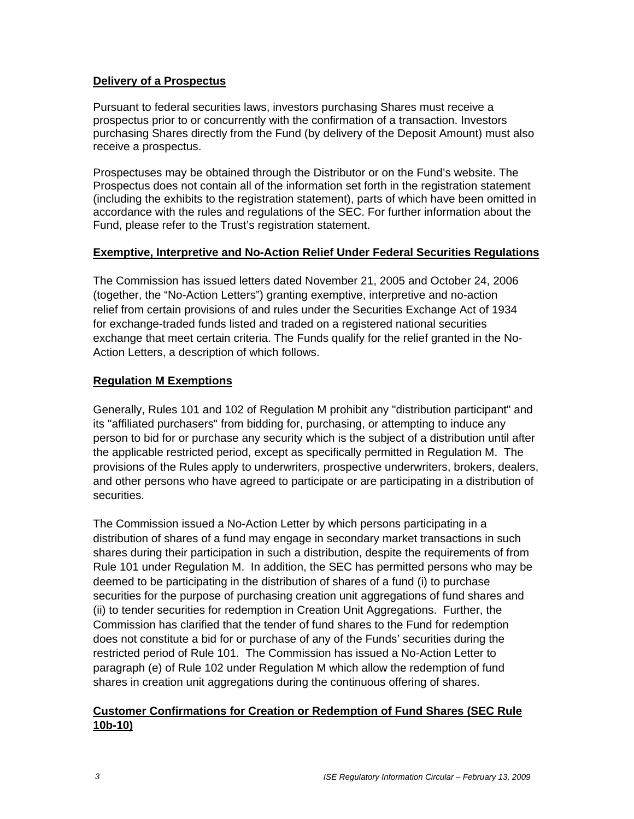#### **Delivery of a Prospectus**

Pursuant to federal securities laws, investors purchasing Shares must receive a prospectus prior to or concurrently with the confirmation of a transaction. Investors purchasing Shares directly from the Fund (by delivery of the Deposit Amount) must also receive a prospectus.

Prospectuses may be obtained through the Distributor or on the Fund's website. The Prospectus does not contain all of the information set forth in the registration statement (including the exhibits to the registration statement), parts of which have been omitted in accordance with the rules and regulations of the SEC. For further information about the Fund, please refer to the Trust's registration statement.

### **Exemptive, Interpretive and No-Action Relief Under Federal Securities Regulations**

The Commission has issued letters dated November 21, 2005 and October 24, 2006 (together, the "No-Action Letters") granting exemptive, interpretive and no-action relief from certain provisions of and rules under the Securities Exchange Act of 1934 for exchange-traded funds listed and traded on a registered national securities exchange that meet certain criteria. The Funds qualify for the relief granted in the No-Action Letters, a description of which follows.

# **Regulation M Exemptions**

Generally, Rules 101 and 102 of Regulation M prohibit any "distribution participant" and its "affiliated purchasers" from bidding for, purchasing, or attempting to induce any person to bid for or purchase any security which is the subject of a distribution until after the applicable restricted period, except as specifically permitted in Regulation M. The provisions of the Rules apply to underwriters, prospective underwriters, brokers, dealers, and other persons who have agreed to participate or are participating in a distribution of securities.

The Commission issued a No-Action Letter by which persons participating in a distribution of shares of a fund may engage in secondary market transactions in such shares during their participation in such a distribution, despite the requirements of from Rule 101 under Regulation M. In addition, the SEC has permitted persons who may be deemed to be participating in the distribution of shares of a fund (i) to purchase securities for the purpose of purchasing creation unit aggregations of fund shares and (ii) to tender securities for redemption in Creation Unit Aggregations. Further, the Commission has clarified that the tender of fund shares to the Fund for redemption does not constitute a bid for or purchase of any of the Funds' securities during the restricted period of Rule 101. The Commission has issued a No-Action Letter to paragraph (e) of Rule 102 under Regulation M which allow the redemption of fund shares in creation unit aggregations during the continuous offering of shares.

### **Customer Confirmations for Creation or Redemption of Fund Shares (SEC Rule 10b-10)**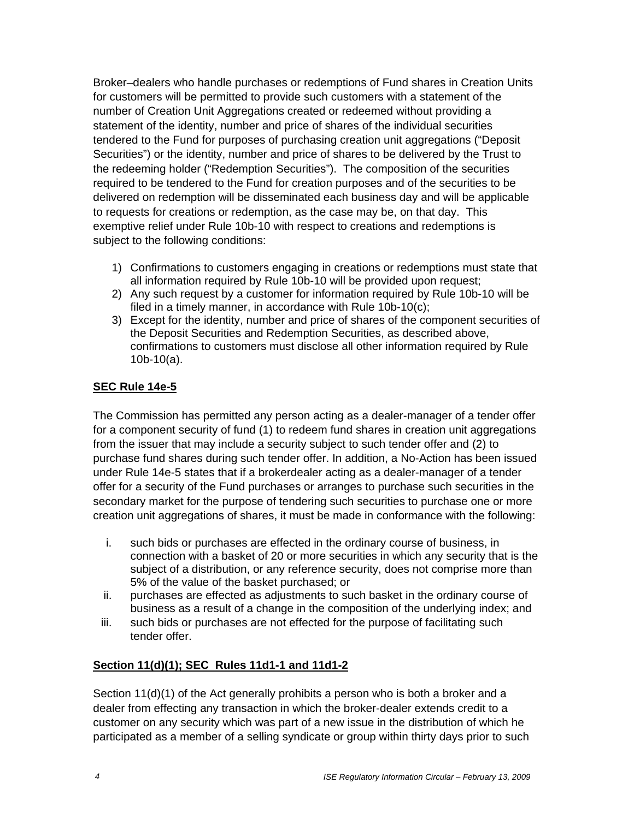Broker–dealers who handle purchases or redemptions of Fund shares in Creation Units for customers will be permitted to provide such customers with a statement of the number of Creation Unit Aggregations created or redeemed without providing a statement of the identity, number and price of shares of the individual securities tendered to the Fund for purposes of purchasing creation unit aggregations ("Deposit Securities") or the identity, number and price of shares to be delivered by the Trust to the redeeming holder ("Redemption Securities"). The composition of the securities required to be tendered to the Fund for creation purposes and of the securities to be delivered on redemption will be disseminated each business day and will be applicable to requests for creations or redemption, as the case may be, on that day. This exemptive relief under Rule 10b-10 with respect to creations and redemptions is subject to the following conditions:

- 1) Confirmations to customers engaging in creations or redemptions must state that all information required by Rule 10b-10 will be provided upon request;
- 2) Any such request by a customer for information required by Rule 10b-10 will be filed in a timely manner, in accordance with Rule 10b-10(c);
- 3) Except for the identity, number and price of shares of the component securities of the Deposit Securities and Redemption Securities, as described above, confirmations to customers must disclose all other information required by Rule 10b-10(a).

# **SEC Rule 14e-5**

The Commission has permitted any person acting as a dealer-manager of a tender offer for a component security of fund (1) to redeem fund shares in creation unit aggregations from the issuer that may include a security subject to such tender offer and (2) to purchase fund shares during such tender offer. In addition, a No-Action has been issued under Rule 14e-5 states that if a brokerdealer acting as a dealer-manager of a tender offer for a security of the Fund purchases or arranges to purchase such securities in the secondary market for the purpose of tendering such securities to purchase one or more creation unit aggregations of shares, it must be made in conformance with the following:

- i. such bids or purchases are effected in the ordinary course of business, in connection with a basket of 20 or more securities in which any security that is the subject of a distribution, or any reference security, does not comprise more than 5% of the value of the basket purchased; or
- ii. purchases are effected as adjustments to such basket in the ordinary course of business as a result of a change in the composition of the underlying index; and
- iii. such bids or purchases are not effected for the purpose of facilitating such tender offer.

# **Section 11(d)(1); SEC Rules 11d1-1 and 11d1-2**

Section 11(d)(1) of the Act generally prohibits a person who is both a broker and a dealer from effecting any transaction in which the broker-dealer extends credit to a customer on any security which was part of a new issue in the distribution of which he participated as a member of a selling syndicate or group within thirty days prior to such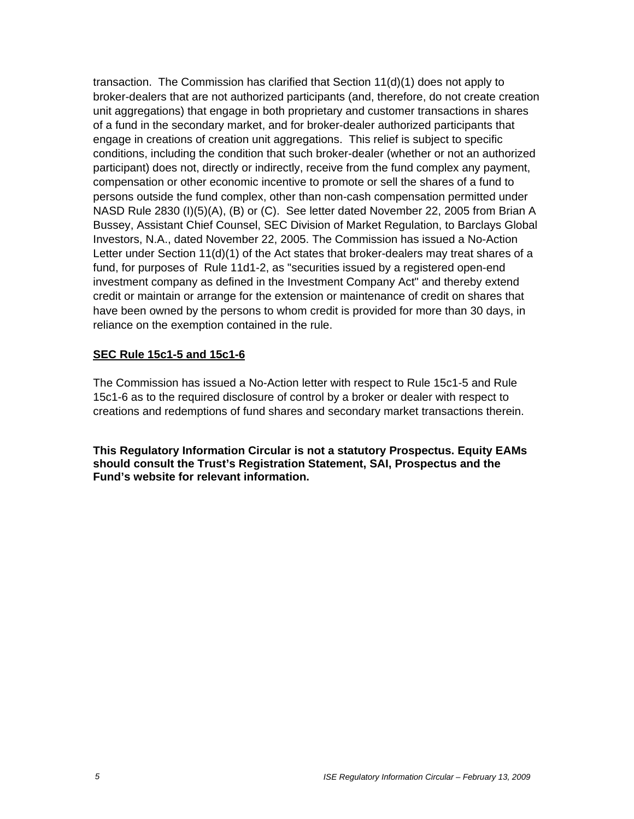transaction. The Commission has clarified that Section 11(d)(1) does not apply to broker-dealers that are not authorized participants (and, therefore, do not create creation unit aggregations) that engage in both proprietary and customer transactions in shares of a fund in the secondary market, and for broker-dealer authorized participants that engage in creations of creation unit aggregations. This relief is subject to specific conditions, including the condition that such broker-dealer (whether or not an authorized participant) does not, directly or indirectly, receive from the fund complex any payment, compensation or other economic incentive to promote or sell the shares of a fund to persons outside the fund complex, other than non-cash compensation permitted under NASD Rule 2830 (I)(5)(A), (B) or (C). See letter dated November 22, 2005 from Brian A Bussey, Assistant Chief Counsel, SEC Division of Market Regulation, to Barclays Global Investors, N.A., dated November 22, 2005. The Commission has issued a No-Action Letter under Section 11(d)(1) of the Act states that broker-dealers may treat shares of a fund, for purposes of Rule 11d1-2, as "securities issued by a registered open-end investment company as defined in the Investment Company Act" and thereby extend credit or maintain or arrange for the extension or maintenance of credit on shares that have been owned by the persons to whom credit is provided for more than 30 days, in reliance on the exemption contained in the rule.

#### **SEC Rule 15c1-5 and 15c1-6**

The Commission has issued a No-Action letter with respect to Rule 15c1-5 and Rule 15c1-6 as to the required disclosure of control by a broker or dealer with respect to creations and redemptions of fund shares and secondary market transactions therein.

**This Regulatory Information Circular is not a statutory Prospectus. Equity EAMs should consult the Trust's Registration Statement, SAI, Prospectus and the Fund's website for relevant information.**